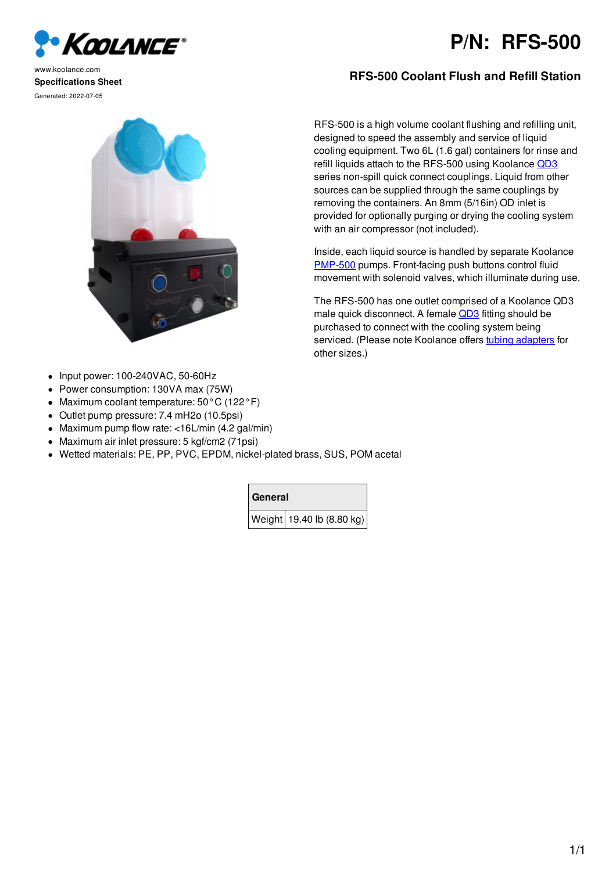

## **P/N: RFS-500**

www.koolance.com **Specifications Sheet** Generated: 2022-07-05

- Input power: 100-240VAC, 50-60Hz  $\bullet$
- Power consumption: 130VA max (75W)  $\bullet$
- Maximum coolant temperature: 50°C (122°F)  $\bullet$
- Outlet pump pressure: 7.4 mH2o (10.5psi)
- Maximum pump flow rate: <16L/min (4.2 gal/min)
- Maximum air inlet pressure: 5 kgf/cm2 (71psi)  $\bullet$
- Wetted materials: PE, PP, PVC, EPDM, nickel-plated brass, SUS, POM acetal

**General**

Weight 19.40 lb (8.80 kg)

## **RFS-500 Coolant Flush and Refill Station**

RFS-500 is a high volume coolant flushing and refilling unit, designed to speed the assembly and service of liquid cooling equipment. Two 6L (1.6 gal) containers for rinse and refill liquids attach to the RFS-500 using Koolance OD3 series non-spill quick connect couplings. Liquid from other sources can be supplied through the same couplings by removing the containers. An 8mm (5/16in) OD inlet is provided for optionally purging or drying the cooling system with an air compressor (not included).

Inside, each liquid source is handled by separate Koolance PMP-500 pumps. Front-facing push buttons control fluid movement with solenoid valves, which illuminate during use.

The RFS-500 has one outlet comprised of a Koolance QD3 male quick disconnect. A female QD3 fitting should be purchased to connect with the cooling system being serviced. (Please note Koolance offers tubing adapters for other sizes.)